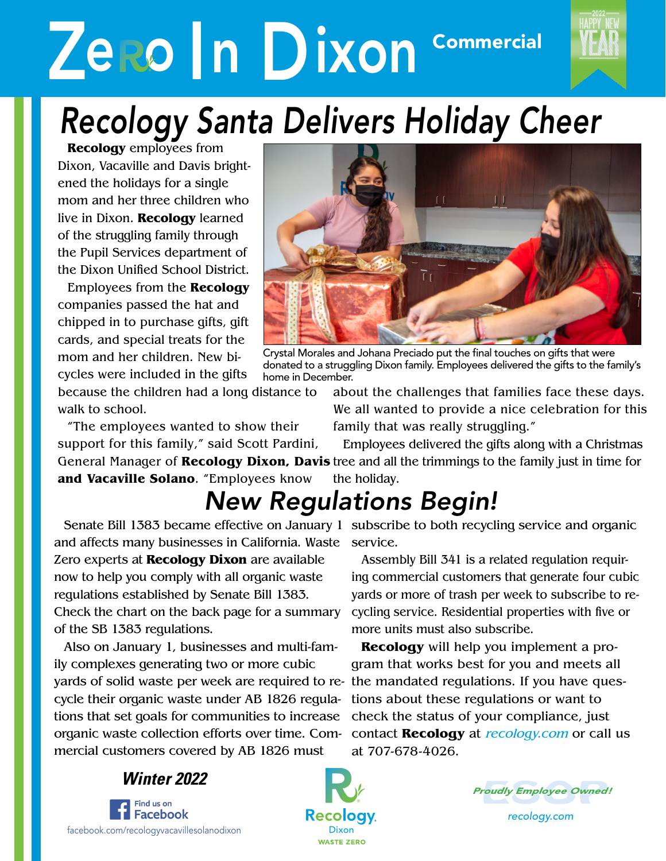# **Zero In Dixon** Commercial



#### *Recology Santa Delivers Holiday Cheer* Vacaville Solano

**Recology** employees from Dixon, Vacaville and Davis brightened the holidays for a single mom and her three children who live in Dixon. **Recology** learned of the struggling family through the Pupil Services department of the Dixon Unified School District.

Employees from the **Recology** companies passed the hat and chipped in to purchase gifts, gift cards, and special treats for the mom and her children. New bicycles were included in the gifts

because the children had a long distance to walk to school.

"The employees wanted to show their support for this family," said Scott Pardini,



Crystal Morales and Johana Preciado put the final touches on gifts that were donated to a struggling Dixon family. Employees delivered the gifts to the family's home in December.

about the challenges that families face these days. We all wanted to provide a nice celebration for this family that was really struggling."

General Manager of **Recology Dixon, Davis** tree and all the trimmings to the family just in time for **and Vacaville Solano**. "Employees know Employees delivered the gifts along with a Christmas the holiday.

### *New Regulations Begin!*

and affects many businesses in California. Waste service. Zero experts at **Recology Dixon** are available now to help you comply with all organic waste regulations established by Senate Bill 1383. Check the chart on the back page for a summary of the SB 1383 regulations.

Also on January 1, businesses and multi-family complexes generating two or more cubic yards of solid waste per week are required to re-the mandated regulations. If you have quescycle their organic waste under AB 1826 regulations that set goals for communities to increase organic waste collection efforts over time. Commercial customers covered by AB 1826 must

Senate Bill 1383 became effective on January 1 subscribe to both recycling service and organic

Assembly Bill 341 is a related regulation requiring commercial customers that generate four cubic yards or more of trash per week to subscribe to recycling service. Residential properties with five or more units must also subscribe.

**Recology** will help you implement a program that works best for you and meets all tions about these regulations or want to check the status of your compliance, just contact **Recology** at recology.com or call us at 707-678-4026.







*recology.com*